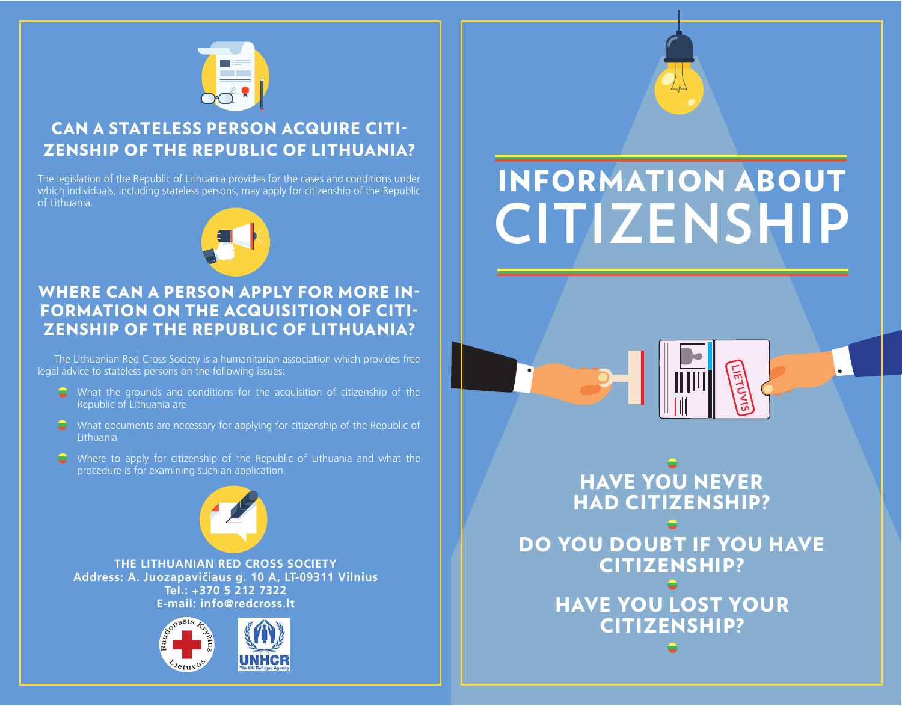

# CAN A STATELESS PERSON ACQUIRE CITI-ZENSHIP OF THE REPUBLIC OF LITHUANIA?

The legislation of the Republic of Lithuania provides for the cases and conditions under which individuals, including stateless persons, may apply for citizenship of the Republic of Lithuania.



## WHERE CAN A PERSON APPLY FOR MORE IN-FORMATION ON THE ACQUISITION OF CITI-ZENSHIP OF THE REPUBLIC OF LITHUANIA?

The Lithuanian Red Cross Society is a humanitarian association which provides free legal advice to stateless persons on the following issues:

- $\bullet$  What the grounds and conditions for the acquisition of citizenship of the Republic of Lithuania are
- $\bullet$  What documents are necessary for applying for citizenship of the Republic of Lithuania
- $\bullet$  Where to apply for citizenship of the Republic of Lithuania and what the procedure is for examining such an application.



**The Lithuanian Red Cross Society Address: A. Juozapavičiaus g. 10 A, LT-09311 Vilnius Tel.: +370 5 212 7322 E-mail: info@redcross.lt** 





# INFORMATION ABOUT **Citizenship**

HAVE YOU NEVER HAD CITIZENSHIP? DO YOU DOUBT IF YOU HAVE CITIZENSHIP? HAVE YOU LOST YOUR CITIZENSHIP?

**lietuvis**